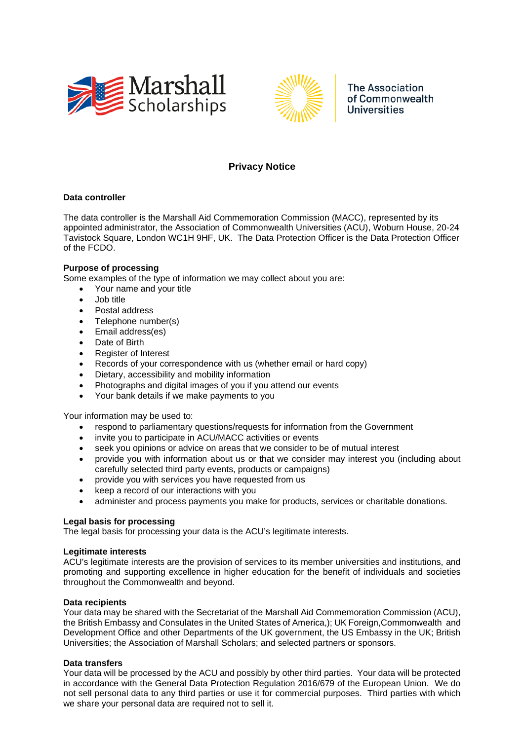



The Association of Commonwealth **Universities** 

# **Privacy Notice**

### **Data controller**

The data controller is the Marshall Aid Commemoration Commission (MACC), represented by its appointed administrator, the Association of Commonwealth Universities (ACU), Woburn House, 20-24 Tavistock Square, London WC1H 9HF, UK. The Data Protection Officer is the Data Protection Officer of the FCDO.

# **Purpose of processing**

Some examples of the type of information we may collect about you are:

- Your name and your title
- Job title
- Postal address
- Telephone number(s)
- Email address(es)
- Date of Birth
- Register of Interest
- Records of your correspondence with us (whether email or hard copy)
- Dietary, accessibility and mobility information
- Photographs and digital images of you if you attend our events
- Your bank details if we make payments to you

Your information may be used to:

- respond to parliamentary questions/requests for information from the Government
- invite you to participate in ACU/MACC activities or events
- seek you opinions or advice on areas that we consider to be of mutual interest
- provide you with information about us or that we consider may interest you (including about carefully selected third party events, products or campaigns)
- provide you with services you have requested from us
- keep a record of our interactions with you
- administer and process payments you make for products, services or charitable donations.

#### **Legal basis for processing**

The legal basis for processing your data is the ACU's legitimate interests.

#### **Legitimate interests**

ACU's legitimate interests are the provision of services to its member universities and institutions, and promoting and supporting excellence in higher education for the benefit of individuals and societies throughout the Commonwealth and beyond.

#### **Data recipients**

Your data may be shared with the Secretariat of the Marshall Aid Commemoration Commission (ACU), the British Embassy and Consulates in the United States of America,); UK Foreign,Commonwealth and Development Office and other Departments of the UK government, the US Embassy in the UK; British Universities; the Association of Marshall Scholars; and selected partners or sponsors.

# **Data transfers**

Your data will be processed by the ACU and possibly by other third parties. Your data will be protected in accordance with the General Data Protection Regulation 2016/679 of the European Union. We do not sell personal data to any third parties or use it for commercial purposes. Third parties with which we share your personal data are required not to sell it.